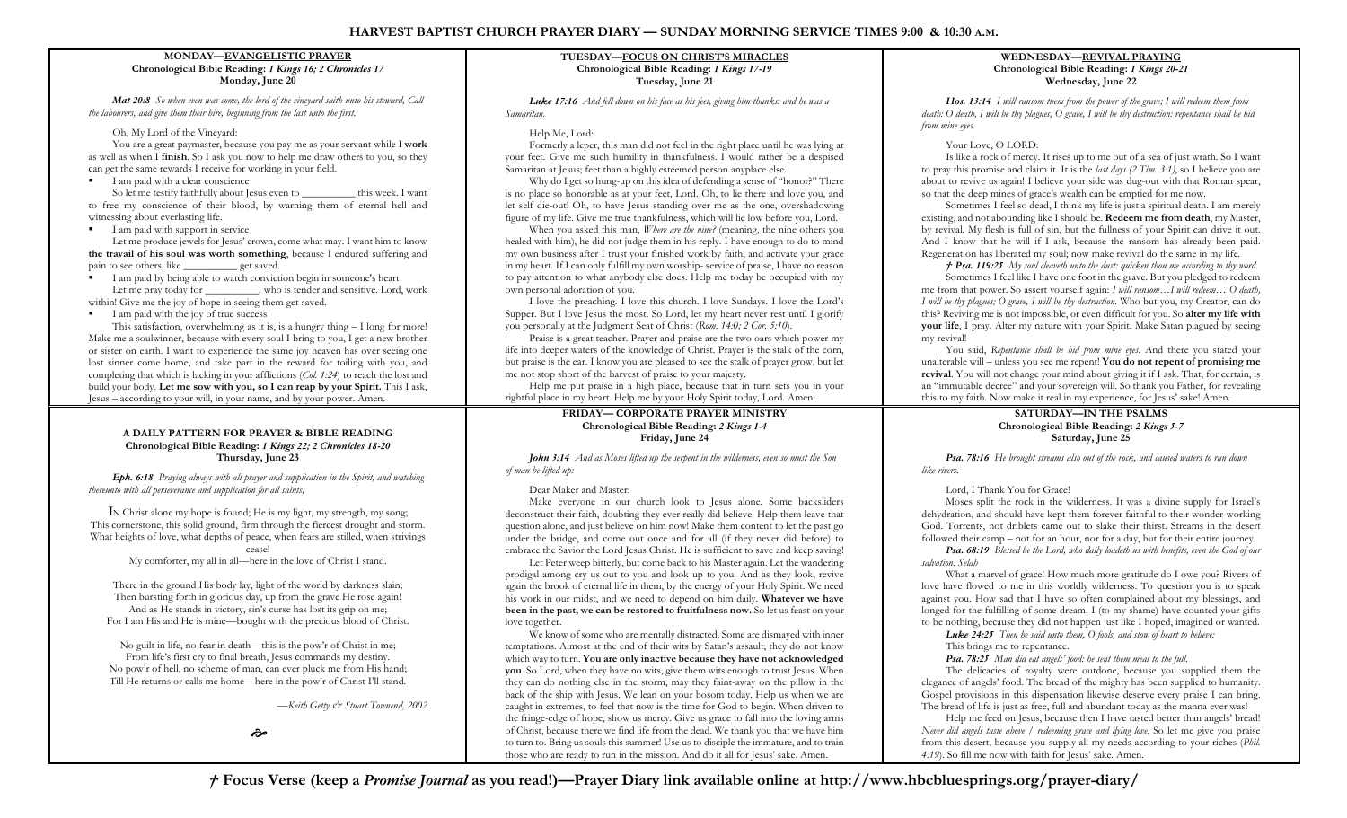# **HARVEST BAPTIST CHURCH PRAYER DIARY — SUNDAY MORNING SERVICE TIMES 9:00 & 10:30 A.M.**

# **MONDAY—EVANGELISTIC PRAYER Chronological Bible Reading:** *1 Kings 16; 2 Chronicles 17* **Monday, June 20**

*Mat 20:8 So when even was come, the lord of the vineyard saith unto his steward, Call the labourers, and give them their hire, beginning from the last unto the first.*

Oh, My Lord of the Vineyard:

You are a great paymaster, because you pay me as your servant while I **work** as well as when I **finish**. So I ask you now to help me draw others to you, so they can get the same rewards I receive for working in your field.

§ I am paid with a clear conscience

So let me testify faithfully about Jesus even to \_\_\_\_\_\_\_\_\_\_\_\_\_ this week. I want to free my conscience of their blood, by warning them of eternal hell and witnessing about everlasting life.

§ I am paid with support in service

Let me produce jewels for Jesus' crown, come what may. I want him to know **the travail of his soul was worth something**, because I endured suffering and pain to see others, like \_\_\_\_\_\_\_\_\_\_ get saved.

**EXECUTE:** I am paid by being able to watch conviction begin in someone's heart Let me pray today for solution is tender and sensitive. Lord who is tender and sensitive. Lord, work within! Give me the joy of hope in seeing them get saved.

■ I am paid with the joy of true success

This satisfaction, overwhelming as it is, is a hungry thing – I long for more! Make me a soulwinner, because with every soul I bring to you, I get a new brother or sister on earth. I want to experience the same joy heaven has over seeing one lost sinner come home, and take part in the reward for toiling with you, and completing that which is lacking in your afflictions (*Col. 1:24*) to reach the lost and build your body. **Let me sow with you, so I can reap by your Spirit.** This I ask, Jesus – according to your will, in your name, and by your power. Amen.

#### **A DAILY PATTERN FOR PRAYER & BIBLE READING Chronological Bible Reading:** *1 Kings 22; 2 Chronicles 18-20* **Thursday, June 23**

*Eph. 6:18 Praying always with all prayer and supplication in the Spirit, and watching thereunto with all perseverance and supplication for all saints;*

**I**<sup>N</sup> Christ alone my hope is found; He is my light, my strength, my song; This cornerstone, this solid ground, firm through the fiercest drought and storm. What heights of love, what depths of peace, when fears are stilled, when strivings cease! My comforter, my all in all—here in the love of Christ I stand.

There in the ground His body lay, light of the world by darkness slain; Then bursting forth in glorious day, up from the grave He rose again! And as He stands in victory, sin's curse has lost its grip on me; For I am His and He is mine—bought with the precious blood of Christ.

No guilt in life, no fear in death—this is the pow'r of Christ in me; From life's first cry to final breath, Jesus commands my destiny. No pow'r of hell, no scheme of man, can ever pluck me from His hand; Till He returns or calls me home—here in the pow'r of Christ I'll stand.

*—Keith Getty & Stuart Townend, 2002*

Ò

# **TUESDAY—FOCUS ON CHRIST'S MIRACLES Chronological Bible Reading:** *1 Kings 17-19* **Tuesday, June 21**

*Luke 17:16 And fell down on his face at his feet, giving him thanks: and he was a Samaritan.*

Help Me, Lord:

Formerly a leper, this man did not feel in the right place until he was lying at your feet. Give me such humility in thankfulness. I would rather be a despised Samaritan at Jesus; feet than a highly esteemed person anyplace else.

Why do I get so hung-up on this idea of defending a sense of "honor?" There is no place so honorable as at your feet, Lord. Oh, to lie there and love you, and let self die-out! Oh, to have Jesus standing over me as the one, overshadowing figure of my life. Give me true thankfulness, which will lie low before you, Lord.

When you asked this man, *Where are the nine?* (meaning, the nine others you healed with him), he did not judge them in his reply. I have enough to do to mind my own business after I trust your finished work by faith, and activate your grace in my heart. If I can only fulfill my own worship- service of praise, I have no reason to pay attention to what anybody else does. Help me today be occupied with my own personal adoration of you.

I love the preaching. I love this church. I love Sundays. I love the Lord's Supper. But I love Jesus the most. So Lord, let my heart never rest until I glorify you personally at the Judgment Seat of Christ (*Rom. 14:0; 2 Cor. 5:10*).

Praise is a great teacher. Prayer and praise are the two oars which power my life into deeper waters of the knowledge of Christ. Prayer is the stalk of the corn, but praise is the ear. I know you are pleased to see the stalk of prayer grow, but let me not stop short of the harvest of praise to your majesty.

Help me put praise in a high place, because that in turn sets you in your rightful place in my heart. Help me by your Holy Spirit today, Lord. Amen.

> **FRIDAY— CORPORATE PRAYER MINISTRY Chronological Bible Reading:** *2 Kings 1-4* **Friday, June 24**

*John 3:14 And as Moses lifted up the serpent in the wilderness, even so must the Son of man be lifted up:*

Dear Maker and Master:

Make everyone in our church look to Jesus alone. Some backsliders deconstruct their faith, doubting they ever really did believe. Help them leave that question alone, and just believe on him now! Make them content to let the past go under the bridge, and come out once and for all (if they never did before) to embrace the Savior the Lord Jesus Christ. He is sufficient to save and keep saving!

Let Peter weep bitterly, but come back to his Master again. Let the wandering prodigal among cry us out to you and look up to you. And as they look, revive again the brook of eternal life in them, by the energy of your Holy Spirit. We need his work in our midst, and we need to depend on him daily. **Whatever we have been in the past, we can be restored to fruitfulness now.** So let us feast on your love together.

We know of some who are mentally distracted. Some are dismayed with inner temptations. Almost at the end of their wits by Satan's assault, they do not know which way to turn. **You are only inactive because they have not acknowledged you**. So Lord, when they have no wits, give them wits enough to trust Jesus. When they can do nothing else in the storm, may they faint-away on the pillow in the back of the ship with Jesus. We lean on your bosom today. Help us when we are caught in extremes, to feel that now is the time for God to begin. When driven to the fringe-edge of hope, show us mercy. Give us grace to fall into the loving arms of Christ, because there we find life from the dead. We thank you that we have him to turn to. Bring us souls this summer! Use us to disciple the immature, and to train those who are ready to run in the mission. And do it all for Jesus' sake. Amen.

#### **WEDNESDAY—REVIVAL PRAYING Chronological Bible Reading:** *1 Kings 20-21* **Wednesday, June 22**

*Hos. 13:14 I will ransom them from the power of the grave; I will redeem them from death: O death, I will be thy plagues; O grave, I will be thy destruction: repentance shall be hid from mine eyes.*

## Your Love, O LORD:

Is like a rock of mercy. It rises up to me out of a sea of just wrath. So I want to pray this promise and claim it. It is the *last days (2 Tim. 3:1)*, so I believe you are about to revive us again! I believe your side was dug-out with that Roman spear, so that the deep mines of grace's wealth can be emptied for me now.

Sometimes I feel so dead, I think my life is just a spiritual death. I am merely existing, and not abounding like I should be. **Redeem me from death**, my Master, by revival. My flesh is full of sin, but the fullness of your Spirit can drive it out. And I know that he will if I ask, because the ransom has already been paid. Regeneration has liberated my soul; now make revival do the same in my life.

*† Psa. 119:25 My soul cleaveth unto the dust: quicken thou me according to thy word.*

Sometimes I feel like I have one foot in the grave. But you pledged to redeem me from that power. So assert yourself again: *I will ransom…I will redeem… O death, I will be thy plagues; O grave, I will be thy destruction*. Who but you, my Creator, can do this? Reviving me is not impossible, or even difficult for you. So **alter my life with your life**, I pray. Alter my nature with your Spirit. Make Satan plagued by seeing my revival!

You said, *Repentance shall be hid from mine eyes*. And there you stated your unalterable will – unless you see me repent! **You do not repent of promising me revival**. You will not change your mind about giving it if I ask. That, for certain, is an "immutable decree" and your sovereign will. So thank you Father, for revealing this to my faith. Now make it real in my experience, for Jesus' sake! Amen.

## **SATURDAY—IN THE PSALMS Chronological Bible Reading:** *2 Kings 5-7* **Saturday, June 25**

*Psa. 78:16 He brought streams also out of the rock, and caused waters to run down like rivers.*

Lord, I Thank You for Grace!

Moses split the rock in the wilderness. It was a divine supply for Israel's dehydration, and should have kept them forever faithful to their wonder-working God. Torrents, not driblets came out to slake their thirst. Streams in the desert followed their camp – not for an hour, nor for a day, but for their entire journey.

*Psa. 68:19 Blessed be the Lord, who daily loadeth us with benefits, even the God of our salvation. Selah*

What a marvel of grace! How much more gratitude do I owe you? Rivers of love have flowed to me in this worldly wilderness. To question you is to speak against you. How sad that I have so often complained about my blessings, and longed for the fulfilling of some dream. I (to my shame) have counted your gifts to be nothing, because they did not happen just like I hoped, imagined or wanted.

*Luke 24:25 Then he said unto them, O fools, and slow of heart to believe:* This brings me to repentance.

*Psa. 78:25 Man did eat angels' food: he sent them meat to the full.*

The delicacies of royalty were outdone, because you supplied them the elegance of angels' food. The bread of the mighty has been supplied to humanity. Gospel provisions in this dispensation likewise deserve every praise I can bring. The bread of life is just as free, full and abundant today as the manna ever was!

Help me feed on Jesus, because then I have tasted better than angels' bread! *Never did angels taste above / redeeming grace and dying love*. So let me give you praise from this desert, because you supply all my needs according to your riches (*Phil. 4:19*). So fill me now with faith for Jesus' sake. Amen.

*†* **Focus Verse (keep a** *Promise Journal* **as you read!)—Prayer Diary link available online at http://www.hbcbluesprings.org/prayer-diary/**